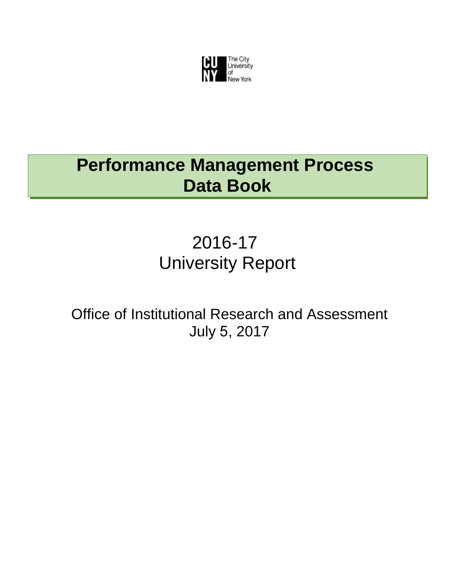

# **Performance Management Process Data Book**

# 2016-17 University Report

Office of Institutional Research and Assessment July 5, 2017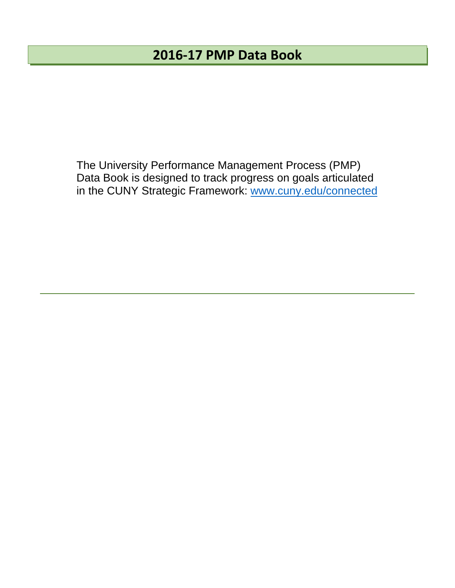### **2016‐17 PMP Data Book**

The University Performance Management Process (PMP) Data Book is designed to track progress on goals articulated in the CUNY Strategic Framework: www.cuny.edu/connected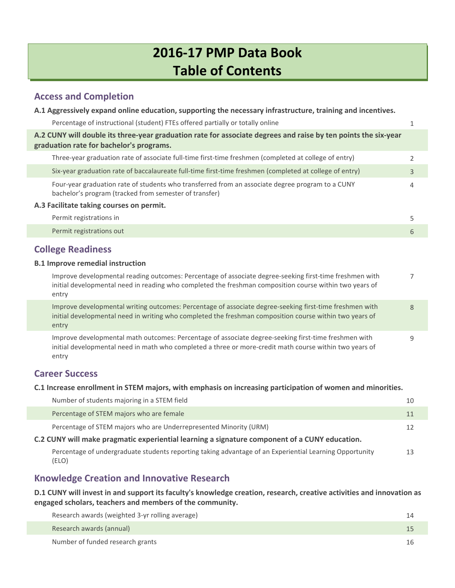### **2016‐17 PMP Data Book Table of Contents**

#### **Access and Completion**

| A.1 Aggressively expand online education, supporting the necessary infrastructure, training and incentives.                                                                                                                 |   |
|-----------------------------------------------------------------------------------------------------------------------------------------------------------------------------------------------------------------------------|---|
| Percentage of instructional (student) FTEs offered partially or totally online                                                                                                                                              | 1 |
| A.2 CUNY will double its three-year graduation rate for associate degrees and raise by ten points the six-year<br>graduation rate for bachelor's programs.                                                                  |   |
| Three-year graduation rate of associate full-time first-time freshmen (completed at college of entry)                                                                                                                       | 2 |
| Six-year graduation rate of baccalaureate full-time first-time freshmen (completed at college of entry)                                                                                                                     | 3 |
| Four-year graduation rate of students who transferred from an associate degree program to a CUNY<br>bachelor's program (tracked from semester of transfer)                                                                  | 4 |
| A.3 Facilitate taking courses on permit.                                                                                                                                                                                    |   |
| Permit registrations in                                                                                                                                                                                                     | 5 |
| Permit registrations out                                                                                                                                                                                                    | 6 |
| <b>College Readiness</b>                                                                                                                                                                                                    |   |
| <b>B.1 Improve remedial instruction</b>                                                                                                                                                                                     |   |
| Improve developmental reading outcomes: Percentage of associate degree-seeking first-time freshmen with<br>initial developmental need in reading who completed the freshman composition course within two years of<br>entry | 7 |
|                                                                                                                                                                                                                             |   |

Improve [developmental](#page-11-0) writing outcomes: Percentage of associate degree-seeking first-time freshmen with initial developmental need in writing who completed the freshman composition course within two years of entry 8

Improve developmental math outcomes: Percentage of associate degree‐seeking first‐time freshmen with initial [developmental](#page-12-0) need in math who completed a three or more‐credit math course within two years of entry 9

### **Career Success**

#### **C.1 Increase enrollment in STEM majors, with emphasis on increasing participation of women and minorities.**

| Number of students majoring in a STEM field                                                                      | 10 |
|------------------------------------------------------------------------------------------------------------------|----|
| Percentage of STEM majors who are female                                                                         | 11 |
| Percentage of STEM majors who are Underrepresented Minority (URM)                                                | 12 |
| C.2 CUNY will make pragmatic experiential learning a signature component of a CUNY education.                    |    |
| Percentage of undergraduate students reporting taking advantage of an Experiential Learning Opportunity<br>(ELO) | 13 |

### **Knowledge Creation and Innovative Research**

D.1 CUNY will invest in and support its faculty's knowledge creation, research, creative activities and innovation as **engaged scholars, teachers and members of the community.**

| Research awards (weighted 3-yr rolling average) |     |
|-------------------------------------------------|-----|
| Research awards (annual)                        |     |
| Number of funded research grants                | l h |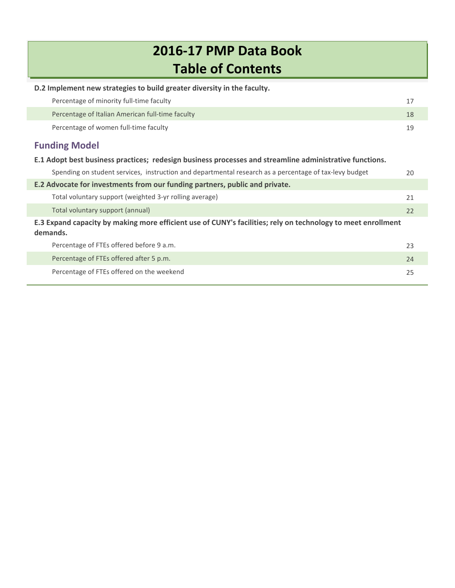## **2016‐17 PMP Data Book Table of Contents**

| D.2 Implement new strategies to build greater diversity in the faculty.                                                  |    |  |  |  |  |  |  |
|--------------------------------------------------------------------------------------------------------------------------|----|--|--|--|--|--|--|
| Percentage of minority full-time faculty                                                                                 | 17 |  |  |  |  |  |  |
| Percentage of Italian American full-time faculty                                                                         | 18 |  |  |  |  |  |  |
| Percentage of women full-time faculty                                                                                    | 19 |  |  |  |  |  |  |
| <b>Funding Model</b>                                                                                                     |    |  |  |  |  |  |  |
| E.1 Adopt best business practices; redesign business processes and streamline administrative functions.                  |    |  |  |  |  |  |  |
| Spending on student services, instruction and departmental research as a percentage of tax-levy budget                   | 20 |  |  |  |  |  |  |
| E.2 Advocate for investments from our funding partners, public and private.                                              |    |  |  |  |  |  |  |
| Total voluntary support (weighted 3-yr rolling average)                                                                  | 21 |  |  |  |  |  |  |
| Total voluntary support (annual)                                                                                         | 22 |  |  |  |  |  |  |
| E.3 Expand capacity by making more efficient use of CUNY's facilities; rely on technology to meet enrollment<br>demands. |    |  |  |  |  |  |  |
| Percentage of FTEs offered before 9 a.m.                                                                                 | 23 |  |  |  |  |  |  |
| Percentage of FTEs offered after 5 p.m.                                                                                  | 24 |  |  |  |  |  |  |
| Percentage of FTEs offered on the weekend                                                                                | 25 |  |  |  |  |  |  |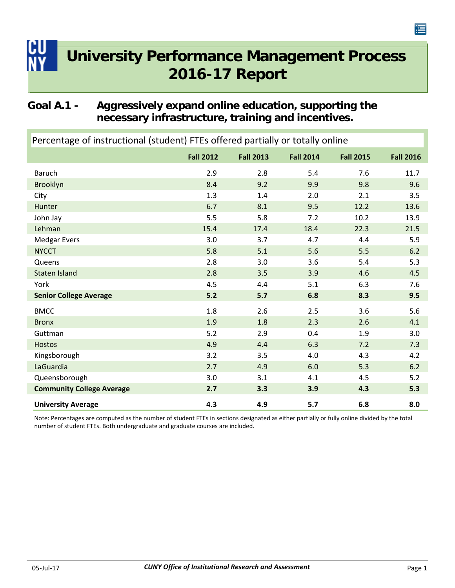### <span id="page-4-0"></span>**Goal A.1 - Aggressively expand online education, supporting the necessary infrastructure, training and incentives.**

| Percentage of instructional (student) FTEs offered partially or totally online |                  |                  |                  |                  |                  |  |
|--------------------------------------------------------------------------------|------------------|------------------|------------------|------------------|------------------|--|
|                                                                                | <b>Fall 2012</b> | <b>Fall 2013</b> | <b>Fall 2014</b> | <b>Fall 2015</b> | <b>Fall 2016</b> |  |
| <b>Baruch</b>                                                                  | 2.9              | 2.8              | 5.4              | 7.6              | 11.7             |  |
| Brooklyn                                                                       | 8.4              | 9.2              | 9.9              | 9.8              | 9.6              |  |
| City                                                                           | 1.3              | 1.4              | 2.0              | 2.1              | 3.5              |  |
| Hunter                                                                         | 6.7              | 8.1              | 9.5              | 12.2             | 13.6             |  |
| John Jay                                                                       | 5.5              | 5.8              | 7.2              | 10.2             | 13.9             |  |
| Lehman                                                                         | 15.4             | 17.4             | 18.4             | 22.3             | 21.5             |  |
| <b>Medgar Evers</b>                                                            | 3.0              | 3.7              | 4.7              | 4.4              | 5.9              |  |
| <b>NYCCT</b>                                                                   | 5.8              | 5.1              | 5.6              | 5.5              | 6.2              |  |
| Queens                                                                         | 2.8              | 3.0              | 3.6              | 5.4              | 5.3              |  |
| <b>Staten Island</b>                                                           | 2.8              | 3.5              | 3.9              | 4.6              | 4.5              |  |
| York                                                                           | 4.5              | 4.4              | 5.1              | 6.3              | 7.6              |  |
| <b>Senior College Average</b>                                                  | 5.2              | 5.7              | 6.8              | 8.3              | 9.5              |  |
| <b>BMCC</b>                                                                    | 1.8              | 2.6              | 2.5              | 3.6              | 5.6              |  |
| <b>Bronx</b>                                                                   | 1.9              | 1.8              | 2.3              | 2.6              | 4.1              |  |
| Guttman                                                                        | 5.2              | 2.9              | 0.4              | 1.9              | 3.0              |  |
| <b>Hostos</b>                                                                  | 4.9              | 4.4              | 6.3              | 7.2              | 7.3              |  |
| Kingsborough                                                                   | 3.2              | 3.5              | 4.0              | 4.3              | 4.2              |  |
| LaGuardia                                                                      | 2.7              | 4.9              | 6.0              | 5.3              | 6.2              |  |
| Queensborough                                                                  | 3.0              | 3.1              | 4.1              | 4.5              | 5.2              |  |
| <b>Community College Average</b>                                               | 2.7              | 3.3              | 3.9              | 4.3              | 5.3              |  |
| <b>University Average</b>                                                      | 4.3              | 4.9              | 5.7              | 6.8              | 8.0              |  |

Note: Percentages are computed as the number of student FTEs in sections designated as either partially or fully online divided by the total number of student FTEs. Both undergraduate and graduate courses are included.

连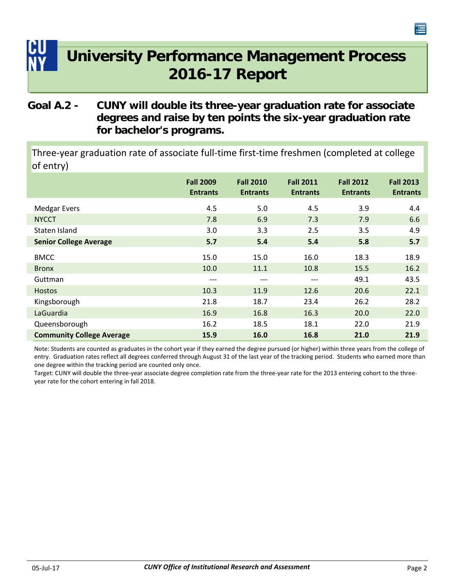### <span id="page-5-0"></span>**Goal A.2 - CUNY will double its three-year graduation rate for associate degrees and raise by ten points the six-year graduation rate for bachelor's programs.**

Three‐year graduation rate of associate full‐time first‐time freshmen (completed at college of entry)

|                                  | <b>Fall 2009</b><br><b>Entrants</b> | <b>Fall 2010</b><br><b>Entrants</b> | <b>Fall 2011</b><br><b>Entrants</b> | <b>Fall 2012</b><br><b>Entrants</b> | <b>Fall 2013</b><br><b>Entrants</b> |
|----------------------------------|-------------------------------------|-------------------------------------|-------------------------------------|-------------------------------------|-------------------------------------|
| <b>Medgar Evers</b>              | 4.5                                 | 5.0                                 | 4.5                                 | 3.9                                 | 4.4                                 |
| <b>NYCCT</b>                     | 7.8                                 | 6.9                                 | 7.3                                 | 7.9                                 | 6.6                                 |
| Staten Island                    | 3.0                                 | 3.3                                 | 2.5                                 | 3.5                                 | 4.9                                 |
| <b>Senior College Average</b>    | 5.7                                 | 5.4                                 | 5.4                                 | 5.8                                 | 5.7                                 |
| <b>BMCC</b>                      | 15.0                                | 15.0                                | 16.0                                | 18.3                                | 18.9                                |
| <b>Bronx</b>                     | 10.0                                | 11.1                                | 10.8                                | 15.5                                | 16.2                                |
| Guttman                          | $---$                               | $---$                               | ---                                 | 49.1                                | 43.5                                |
| <b>Hostos</b>                    | 10.3                                | 11.9                                | 12.6                                | 20.6                                | 22.1                                |
| Kingsborough                     | 21.8                                | 18.7                                | 23.4                                | 26.2                                | 28.2                                |
| LaGuardia                        | 16.9                                | 16.8                                | 16.3                                | 20.0                                | 22.0                                |
| Queensborough                    | 16.2                                | 18.5                                | 18.1                                | 22.0                                | 21.9                                |
| <b>Community College Average</b> | 15.9                                | 16.0                                | 16.8                                | 21.0                                | 21.9                                |

Note: Students are counted as graduates in the cohort year if they earned the degree pursued (or higher) within three years from the college of entry. Graduation rates reflect all degrees conferred through August 31 of the last year of the tracking period. Students who earned more than one degree within the tracking period are counted only once.

Target: CUNY will double the three-year associate degree completion rate from the three-year rate for the 2013 entering cohort to the threeyear rate for the cohort entering in fall 2018.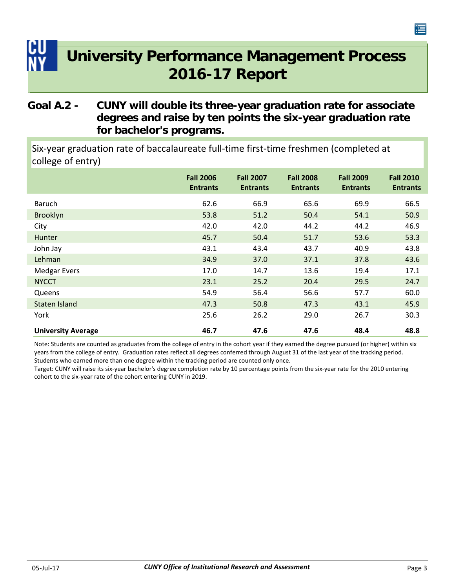### <span id="page-6-0"></span>**Goal A.2 - CUNY will double its three-year graduation rate for associate degrees and raise by ten points the six-year graduation rate for bachelor's programs.**

Six‐year graduation rate of baccalaureate full‐time first‐time freshmen (completed at college of entry)

|                           | <b>Fall 2006</b><br><b>Entrants</b> | <b>Fall 2007</b><br><b>Entrants</b> | <b>Fall 2008</b><br><b>Entrants</b> | <b>Fall 2009</b><br><b>Entrants</b> | <b>Fall 2010</b><br><b>Entrants</b> |
|---------------------------|-------------------------------------|-------------------------------------|-------------------------------------|-------------------------------------|-------------------------------------|
| <b>Baruch</b>             | 62.6                                | 66.9                                | 65.6                                | 69.9                                | 66.5                                |
| Brooklyn                  | 53.8                                | 51.2                                | 50.4                                | 54.1                                | 50.9                                |
| City                      | 42.0                                | 42.0                                | 44.2                                | 44.2                                | 46.9                                |
| Hunter                    | 45.7                                | 50.4                                | 51.7                                | 53.6                                | 53.3                                |
| John Jay                  | 43.1                                | 43.4                                | 43.7                                | 40.9                                | 43.8                                |
| Lehman                    | 34.9                                | 37.0                                | 37.1                                | 37.8                                | 43.6                                |
| <b>Medgar Evers</b>       | 17.0                                | 14.7                                | 13.6                                | 19.4                                | 17.1                                |
| <b>NYCCT</b>              | 23.1                                | 25.2                                | 20.4                                | 29.5                                | 24.7                                |
| Queens                    | 54.9                                | 56.4                                | 56.6                                | 57.7                                | 60.0                                |
| Staten Island             | 47.3                                | 50.8                                | 47.3                                | 43.1                                | 45.9                                |
| York                      | 25.6                                | 26.2                                | 29.0                                | 26.7                                | 30.3                                |
| <b>University Average</b> | 46.7                                | 47.6                                | 47.6                                | 48.4                                | 48.8                                |

Note: Students are counted as graduates from the college of entry in the cohort year if they earned the degree pursued (or higher) within six years from the college of entry. Graduation rates reflect all degrees conferred through August 31 of the last year of the tracking period. Students who earned more than one degree within the tracking period are counted only once.

Target: CUNY will raise its six‐year bachelor's degree completion rate by 10 percentage points from the six‐year rate for the 2010 entering cohort to the six‐year rate of the cohort entering CUNY in 2019.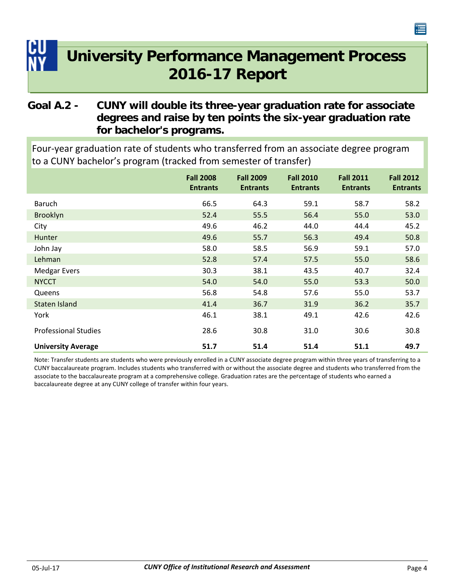### <span id="page-7-0"></span>**Goal A.2 - CUNY will double its three-year graduation rate for associate degrees and raise by ten points the six-year graduation rate for bachelor's programs.**

Four‐year graduation rate of students who transferred from an associate degree program to a CUNY bachelor's program (tracked from semester of transfer)

|                             | <b>Fall 2008</b><br><b>Entrants</b> | <b>Fall 2009</b><br><b>Entrants</b> | <b>Fall 2010</b><br><b>Entrants</b> | <b>Fall 2011</b><br><b>Entrants</b> | <b>Fall 2012</b><br><b>Entrants</b> |
|-----------------------------|-------------------------------------|-------------------------------------|-------------------------------------|-------------------------------------|-------------------------------------|
| <b>Baruch</b>               | 66.5                                | 64.3                                | 59.1                                | 58.7                                | 58.2                                |
| Brooklyn                    | 52.4                                | 55.5                                | 56.4                                | 55.0                                | 53.0                                |
| City                        | 49.6                                | 46.2                                | 44.0                                | 44.4                                | 45.2                                |
| Hunter                      | 49.6                                | 55.7                                | 56.3                                | 49.4                                | 50.8                                |
| John Jay                    | 58.0                                | 58.5                                | 56.9                                | 59.1                                | 57.0                                |
| Lehman                      | 52.8                                | 57.4                                | 57.5                                | 55.0                                | 58.6                                |
| <b>Medgar Evers</b>         | 30.3                                | 38.1                                | 43.5                                | 40.7                                | 32.4                                |
| <b>NYCCT</b>                | 54.0                                | 54.0                                | 55.0                                | 53.3                                | 50.0                                |
| Queens                      | 56.8                                | 54.8                                | 57.6                                | 55.0                                | 53.7                                |
| Staten Island               | 41.4                                | 36.7                                | 31.9                                | 36.2                                | 35.7                                |
| York                        | 46.1                                | 38.1                                | 49.1                                | 42.6                                | 42.6                                |
| <b>Professional Studies</b> | 28.6                                | 30.8                                | 31.0                                | 30.6                                | 30.8                                |
| <b>University Average</b>   | 51.7                                | 51.4                                | 51.4                                | 51.1                                | 49.7                                |

Note: Transfer students are students who were previously enrolled in a CUNY associate degree program within three years of transferring to a CUNY baccalaureate program. Includes students who transferred with or without the associate degree and students who transferred from the associate to the baccalaureate program at a comprehensive college. Graduation rates are the percentage of students who earned a baccalaureate degree at any CUNY college of transfer within four years.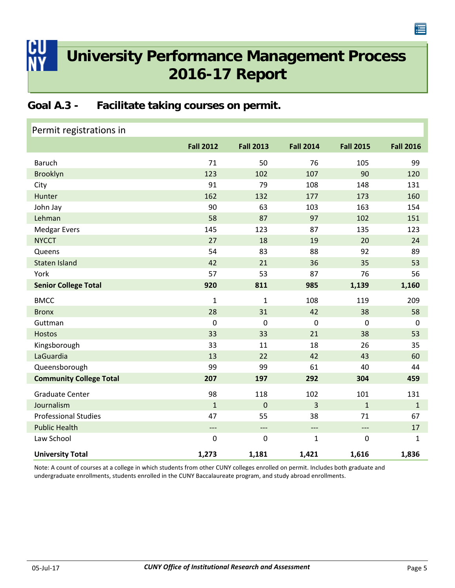### <span id="page-8-0"></span>**Goal A.3 - Facilitate taking courses on permit.**

| Permit registrations in        |                          |                  |                          |                          |                  |
|--------------------------------|--------------------------|------------------|--------------------------|--------------------------|------------------|
|                                | <b>Fall 2012</b>         | <b>Fall 2013</b> | <b>Fall 2014</b>         | <b>Fall 2015</b>         | <b>Fall 2016</b> |
| <b>Baruch</b>                  | 71                       | 50               | 76                       | 105                      | 99               |
| Brooklyn                       | 123                      | 102              | 107                      | 90                       | 120              |
| City                           | 91                       | 79               | 108                      | 148                      | 131              |
| Hunter                         | 162                      | 132              | 177                      | 173                      | 160              |
| John Jay                       | 90                       | 63               | 103                      | 163                      | 154              |
| Lehman                         | 58                       | 87               | 97                       | 102                      | 151              |
| <b>Medgar Evers</b>            | 145                      | 123              | 87                       | 135                      | 123              |
| <b>NYCCT</b>                   | 27                       | 18               | 19                       | 20                       | 24               |
| Queens                         | 54                       | 83               | 88                       | 92                       | 89               |
| <b>Staten Island</b>           | 42                       | 21               | 36                       | 35                       | 53               |
| York                           | 57                       | 53               | 87                       | 76                       | 56               |
| <b>Senior College Total</b>    | 920                      | 811              | 985                      | 1,139                    | 1,160            |
| <b>BMCC</b>                    | $\mathbf{1}$             | 1                | 108                      | 119                      | 209              |
| <b>Bronx</b>                   | 28                       | 31               | 42                       | 38                       | 58               |
| Guttman                        | $\mathbf 0$              | $\mathbf 0$      | $\mathbf 0$              | $\overline{0}$           | $\mathbf 0$      |
| <b>Hostos</b>                  | 33                       | 33               | 21                       | 38                       | 53               |
| Kingsborough                   | 33                       | 11               | 18                       | 26                       | 35               |
| LaGuardia                      | 13                       | 22               | 42                       | 43                       | 60               |
| Queensborough                  | 99                       | 99               | 61                       | 40                       | 44               |
| <b>Community College Total</b> | 207                      | 197              | 292                      | 304                      | 459              |
| <b>Graduate Center</b>         | 98                       | 118              | 102                      | 101                      | 131              |
| Journalism                     | $\mathbf{1}$             | $\mathbf 0$      | 3                        | $\mathbf{1}$             | $\mathbf{1}$     |
| <b>Professional Studies</b>    | 47                       | 55               | 38                       | 71                       | 67               |
| <b>Public Health</b>           | $\overline{\phantom{a}}$ | $---$            | $\overline{\phantom{a}}$ | $\overline{\phantom{0}}$ | 17               |
| Law School                     | $\mathbf 0$              | 0                | $\mathbf{1}$             | $\mathbf 0$              | 1                |
| <b>University Total</b>        | 1,273                    | 1,181            | 1,421                    | 1,616                    | 1,836            |

Note: A count of courses at a college in which students from other CUNY colleges enrolled on permit. Includes both graduate and undergraduate enrollments, students enrolled in the CUNY Baccalaureate program, and study abroad enrollments.

僵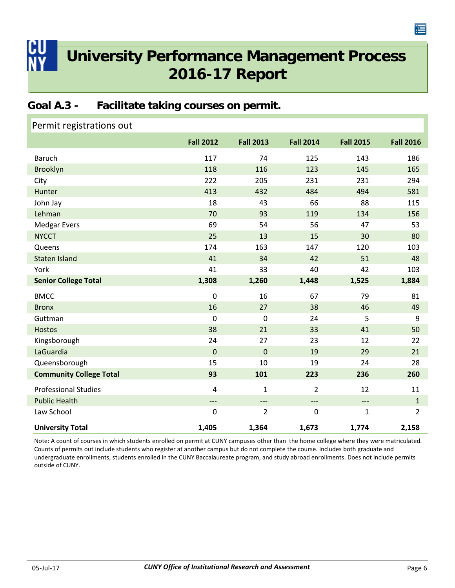<span id="page-9-0"></span>

### **Goal A.3 - Facilitate taking courses on permit.**

| Permit registrations out       |                  |                  |                  |                                   |                  |
|--------------------------------|------------------|------------------|------------------|-----------------------------------|------------------|
|                                | <b>Fall 2012</b> | <b>Fall 2013</b> | <b>Fall 2014</b> | <b>Fall 2015</b>                  | <b>Fall 2016</b> |
| <b>Baruch</b>                  | 117              | 74               | 125              | 143                               | 186              |
| <b>Brooklyn</b>                | 118              | 116              | 123              | 145                               | 165              |
| City                           | 222              | 205              | 231              | 231                               | 294              |
| Hunter                         | 413              | 432              | 484              | 494                               | 581              |
| John Jay                       | 18               | 43               | 66               | 88                                | 115              |
| Lehman                         | 70               | 93               | 119              | 134                               | 156              |
| <b>Medgar Evers</b>            | 69               | 54               | 56               | 47                                | 53               |
| <b>NYCCT</b>                   | 25               | 13               | 15               | 30                                | 80               |
| Queens                         | 174              | 163              | 147              | 120                               | 103              |
| Staten Island                  | 41               | 34               | 42               | 51                                | 48               |
| York                           | 41               | 33               | 40               | 42                                | 103              |
| <b>Senior College Total</b>    | 1,308            | 1,260            | 1,448            | 1,525                             | 1,884            |
| <b>BMCC</b>                    |                  |                  |                  |                                   | 81               |
|                                | $\mathbf 0$      | 16               | 67               | 79                                |                  |
| <b>Bronx</b>                   | 16               | 27               | 38               | 46                                | 49               |
| Guttman                        | $\mathbf 0$      | $\mathbf 0$      | 24               | 5                                 | 9                |
| <b>Hostos</b>                  | 38               | 21               | 33               | 41                                | 50               |
| Kingsborough                   | 24               | 27               | 23               | 12                                | 22               |
| LaGuardia                      | $\mathbf 0$      | $\mathbf 0$      | 19               | 29                                | 21               |
| Queensborough                  | 15               | 10               | 19               | 24                                | 28               |
| <b>Community College Total</b> | 93               | 101              | 223              | 236                               | 260              |
| <b>Professional Studies</b>    | $\overline{4}$   | 1                | 2                | 12                                | 11               |
| <b>Public Health</b>           | $---$            | $---$            | $---$            | $\hspace{0.05cm} \dashrightarrow$ | $\mathbf{1}$     |
| Law School                     | $\boldsymbol{0}$ | $\overline{2}$   | $\pmb{0}$        | $\mathbf 1$                       | $\overline{2}$   |

Note: A count of courses in which students enrolled on permit at CUNY campuses other than the home college where they were matriculated. Counts of permits out include students who register at another campus but do not complete the course. Includes both graduate and undergraduate enrollments, students enrolled in the CUNY Baccalaureate program, and study abroad enrollments. Does not include permits outside of CUNY.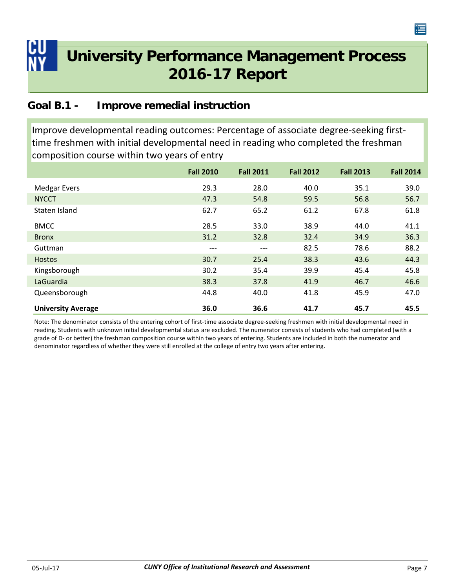### <span id="page-10-0"></span>**Goal B.1 - Improve remedial instruction**

Improve developmental reading outcomes: Percentage of associate degree‐seeking first‐ time freshmen with initial developmental need in reading who completed the freshman composition course within two years of entry

|                           | <b>Fall 2010</b> | <b>Fall 2011</b> | <b>Fall 2012</b> | <b>Fall 2013</b> | <b>Fall 2014</b> |
|---------------------------|------------------|------------------|------------------|------------------|------------------|
| <b>Medgar Evers</b>       | 29.3             | 28.0             | 40.0             | 35.1             | 39.0             |
| <b>NYCCT</b>              | 47.3             | 54.8             | 59.5             | 56.8             | 56.7             |
| Staten Island             | 62.7             | 65.2             | 61.2             | 67.8             | 61.8             |
| <b>BMCC</b>               | 28.5             | 33.0             | 38.9             | 44.0             | 41.1             |
| <b>Bronx</b>              | 31.2             | 32.8             | 32.4             | 34.9             | 36.3             |
| Guttman                   | $---$            | ---              | 82.5             | 78.6             | 88.2             |
| <b>Hostos</b>             | 30.7             | 25.4             | 38.3             | 43.6             | 44.3             |
| Kingsborough              | 30.2             | 35.4             | 39.9             | 45.4             | 45.8             |
| LaGuardia                 | 38.3             | 37.8             | 41.9             | 46.7             | 46.6             |
| Queensborough             | 44.8             | 40.0             | 41.8             | 45.9             | 47.0             |
| <b>University Average</b> | 36.0             | 36.6             | 41.7             | 45.7             | 45.5             |

Note: The denominator consists of the entering cohort of first-time associate degree-seeking freshmen with initial developmental need in reading. Students with unknown initial developmental status are excluded. The numerator consists of students who had completed (with a grade of D‐ or better) the freshman composition course within two years of entering. Students are included in both the numerator and denominator regardless of whether they were still enrolled at the college of entry two years after entering.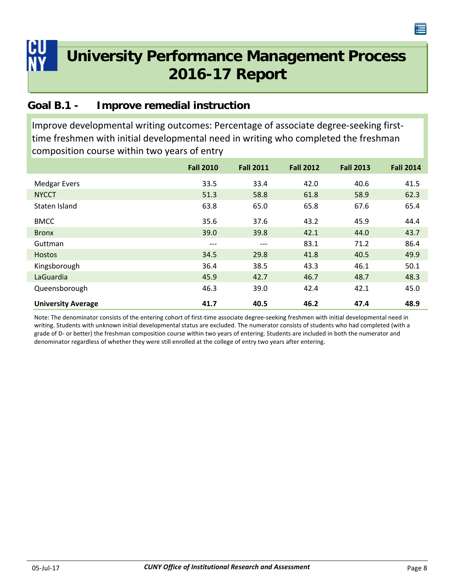<span id="page-11-0"></span>

### **Goal B.1 - Improve remedial instruction**

Improve developmental writing outcomes: Percentage of associate degree‐seeking first‐ time freshmen with initial developmental need in writing who completed the freshman composition course within two years of entry

|                           | <b>Fall 2010</b> | <b>Fall 2011</b> | <b>Fall 2012</b> | <b>Fall 2013</b> | <b>Fall 2014</b> |
|---------------------------|------------------|------------------|------------------|------------------|------------------|
| <b>Medgar Evers</b>       | 33.5             | 33.4             | 42.0             | 40.6             | 41.5             |
| <b>NYCCT</b>              | 51.3             | 58.8             | 61.8             | 58.9             | 62.3             |
| Staten Island             | 63.8             | 65.0             | 65.8             | 67.6             | 65.4             |
| <b>BMCC</b>               | 35.6             | 37.6             | 43.2             | 45.9             | 44.4             |
| <b>Bronx</b>              | 39.0             | 39.8             | 42.1             | 44.0             | 43.7             |
| Guttman                   | $---$            | ---              | 83.1             | 71.2             | 86.4             |
| <b>Hostos</b>             | 34.5             | 29.8             | 41.8             | 40.5             | 49.9             |
| Kingsborough              | 36.4             | 38.5             | 43.3             | 46.1             | 50.1             |
| LaGuardia                 | 45.9             | 42.7             | 46.7             | 48.7             | 48.3             |
| Queensborough             | 46.3             | 39.0             | 42.4             | 42.1             | 45.0             |
| <b>University Average</b> | 41.7             | 40.5             | 46.2             | 47.4             | 48.9             |

Note: The denominator consists of the entering cohort of first-time associate degree-seeking freshmen with initial developmental need in writing. Students with unknown initial developmental status are excluded. The numerator consists of students who had completed (with a grade of D‐ or better) the freshman composition course within two years of entering. Students are included in both the numerator and denominator regardless of whether they were still enrolled at the college of entry two years after entering.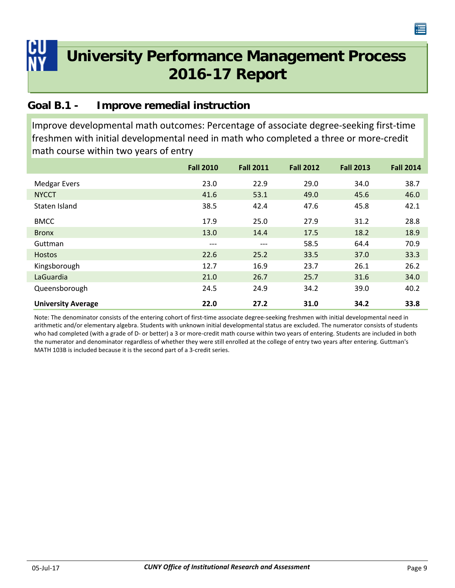<span id="page-12-0"></span>

### **Goal B.1 - Improve remedial instruction**

Improve developmental math outcomes: Percentage of associate degree‐seeking first‐time freshmen with initial developmental need in math who completed a three or more‐credit math course within two years of entry

|                           | <b>Fall 2010</b> | <b>Fall 2011</b> | <b>Fall 2012</b> | <b>Fall 2013</b> | <b>Fall 2014</b> |
|---------------------------|------------------|------------------|------------------|------------------|------------------|
| <b>Medgar Evers</b>       | 23.0             | 22.9             | 29.0             | 34.0             | 38.7             |
| <b>NYCCT</b>              | 41.6             | 53.1             | 49.0             | 45.6             | 46.0             |
| Staten Island             | 38.5             | 42.4             | 47.6             | 45.8             | 42.1             |
| <b>BMCC</b>               | 17.9             | 25.0             | 27.9             | 31.2             | 28.8             |
| <b>Bronx</b>              | 13.0             | 14.4             | 17.5             | 18.2             | 18.9             |
| Guttman                   | $---$            | $---$            | 58.5             | 64.4             | 70.9             |
| <b>Hostos</b>             | 22.6             | 25.2             | 33.5             | 37.0             | 33.3             |
| Kingsborough              | 12.7             | 16.9             | 23.7             | 26.1             | 26.2             |
| LaGuardia                 | 21.0             | 26.7             | 25.7             | 31.6             | 34.0             |
| Queensborough             | 24.5             | 24.9             | 34.2             | 39.0             | 40.2             |
| <b>University Average</b> | 22.0             | 27.2             | 31.0             | 34.2             | 33.8             |

Note: The denominator consists of the entering cohort of first-time associate degree-seeking freshmen with initial developmental need in arithmetic and/or elementary algebra. Students with unknown initial developmental status are excluded. The numerator consists of students who had completed (with a grade of D- or better) a 3 or more-credit math course within two years of entering. Students are included in both the numerator and denominator regardless of whether they were still enrolled at the college of entry two years after entering. Guttman's MATH 103B is included because it is the second part of a 3‐credit series.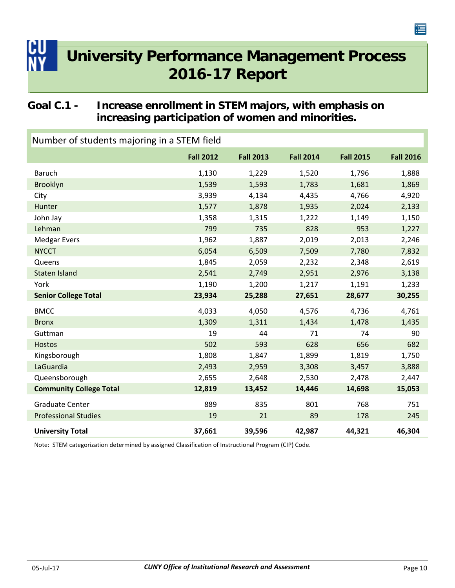### <span id="page-13-0"></span>**Goal C.1 - Increase enrollment in STEM majors, with emphasis on increasing participation of women and minorities.**

| Number of students majoring in a STEM field |                  |                  |                  |                  |                  |  |
|---------------------------------------------|------------------|------------------|------------------|------------------|------------------|--|
|                                             | <b>Fall 2012</b> | <b>Fall 2013</b> | <b>Fall 2014</b> | <b>Fall 2015</b> | <b>Fall 2016</b> |  |
| <b>Baruch</b>                               | 1,130            | 1,229            | 1,520            | 1,796            | 1,888            |  |
| Brooklyn                                    | 1,539            | 1,593            | 1,783            | 1,681            | 1,869            |  |
| City                                        | 3,939            | 4,134            | 4,435            | 4,766            | 4,920            |  |
| Hunter                                      | 1,577            | 1,878            | 1,935            | 2,024            | 2,133            |  |
| John Jay                                    | 1,358            | 1,315            | 1,222            | 1,149            | 1,150            |  |
| Lehman                                      | 799              | 735              | 828              | 953              | 1,227            |  |
| <b>Medgar Evers</b>                         | 1,962            | 1,887            | 2,019            | 2,013            | 2,246            |  |
| <b>NYCCT</b>                                | 6,054            | 6,509            | 7,509            | 7,780            | 7,832            |  |
| Queens                                      | 1,845            | 2,059            | 2,232            | 2,348            | 2,619            |  |
| <b>Staten Island</b>                        | 2,541            | 2,749            | 2,951            | 2,976            | 3,138            |  |
| York                                        | 1,190            | 1,200            | 1,217            | 1,191            | 1,233            |  |
| <b>Senior College Total</b>                 | 23,934           | 25,288           | 27,651           | 28,677           | 30,255           |  |
| <b>BMCC</b>                                 | 4,033            | 4,050            | 4,576            | 4,736            | 4,761            |  |
| <b>Bronx</b>                                | 1,309            | 1,311            | 1,434            | 1,478            | 1,435            |  |
| Guttman                                     | 19               | 44               | 71               | 74               | 90               |  |
| <b>Hostos</b>                               | 502              | 593              | 628              | 656              | 682              |  |
| Kingsborough                                | 1,808            | 1,847            | 1,899            | 1,819            | 1,750            |  |
| LaGuardia                                   | 2,493            | 2,959            | 3,308            | 3,457            | 3,888            |  |
| Queensborough                               | 2,655            | 2,648            | 2,530            | 2,478            | 2,447            |  |
| <b>Community College Total</b>              | 12,819           | 13,452           | 14,446           | 14,698           | 15,053           |  |
| <b>Graduate Center</b>                      | 889              | 835              | 801              | 768              | 751              |  |
| <b>Professional Studies</b>                 | 19               | 21               | 89               | 178              | 245              |  |
| <b>University Total</b>                     | 37,661           | 39,596           | 42,987           | 44,321           | 46,304           |  |

Note: STEM categorization determined by assigned Classification of Instructional Program (CIP) Code.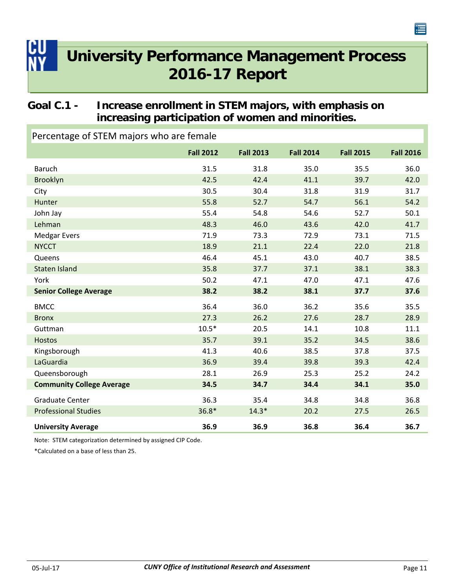### <span id="page-14-0"></span>**Goal C.1 - Increase enrollment in STEM majors, with emphasis on increasing participation of women and minorities.**

| $\sim$ creditions of steaming of state termines |                  |                  |                  |                  |                  |
|-------------------------------------------------|------------------|------------------|------------------|------------------|------------------|
|                                                 | <b>Fall 2012</b> | <b>Fall 2013</b> | <b>Fall 2014</b> | <b>Fall 2015</b> | <b>Fall 2016</b> |
| <b>Baruch</b>                                   | 31.5             | 31.8             | 35.0             | 35.5             | 36.0             |
| Brooklyn                                        | 42.5             | 42.4             | 41.1             | 39.7             | 42.0             |
| City                                            | 30.5             | 30.4             | 31.8             | 31.9             | 31.7             |
| Hunter                                          | 55.8             | 52.7             | 54.7             | 56.1             | 54.2             |
| John Jay                                        | 55.4             | 54.8             | 54.6             | 52.7             | 50.1             |
| Lehman                                          | 48.3             | 46.0             | 43.6             | 42.0             | 41.7             |
| <b>Medgar Evers</b>                             | 71.9             | 73.3             | 72.9             | 73.1             | 71.5             |
| <b>NYCCT</b>                                    | 18.9             | 21.1             | 22.4             | 22.0             | 21.8             |
| Queens                                          | 46.4             | 45.1             | 43.0             | 40.7             | 38.5             |
| <b>Staten Island</b>                            | 35.8             | 37.7             | 37.1             | 38.1             | 38.3             |
| York                                            | 50.2             | 47.1             | 47.0             | 47.1             | 47.6             |
| <b>Senior College Average</b>                   | 38.2             | 38.2             | 38.1             | 37.7             | 37.6             |
| <b>BMCC</b>                                     | 36.4             | 36.0             | 36.2             | 35.6             | 35.5             |
| <b>Bronx</b>                                    | 27.3             | 26.2             | 27.6             | 28.7             | 28.9             |
| Guttman                                         | $10.5*$          | 20.5             | 14.1             | 10.8             | 11.1             |
| <b>Hostos</b>                                   | 35.7             | 39.1             | 35.2             | 34.5             | 38.6             |
| Kingsborough                                    | 41.3             | 40.6             | 38.5             | 37.8             | 37.5             |
| LaGuardia                                       | 36.9             | 39.4             | 39.8             | 39.3             | 42.4             |
| Queensborough                                   | 28.1             | 26.9             | 25.3             | 25.2             | 24.2             |
| <b>Community College Average</b>                | 34.5             | 34.7             | 34.4             | 34.1             | 35.0             |
| <b>Graduate Center</b>                          | 36.3             | 35.4             | 34.8             | 34.8             | 36.8             |
| <b>Professional Studies</b>                     | $36.8*$          | $14.3*$          | 20.2             | 27.5             | 26.5             |
| <b>University Average</b>                       | 36.9             | 36.9             | 36.8             | 36.4             | 36.7             |

Percentage of STEM majors who are female

Note: STEM categorization determined by assigned CIP Code.

\*Calculated on a base of less than 25.

连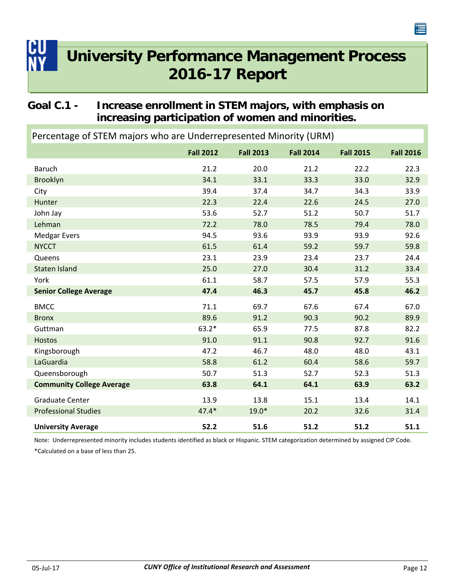### <span id="page-15-0"></span>**Goal C.1 - Increase enrollment in STEM majors, with emphasis on increasing participation of women and minorities.**

| Percentage of STEIN majors who are Underrepresented Minority (URM) |                  |                  |                  |                  |                  |  |  |
|--------------------------------------------------------------------|------------------|------------------|------------------|------------------|------------------|--|--|
|                                                                    | <b>Fall 2012</b> | <b>Fall 2013</b> | <b>Fall 2014</b> | <b>Fall 2015</b> | <b>Fall 2016</b> |  |  |
| <b>Baruch</b>                                                      | 21.2             | 20.0             | 21.2             | 22.2             | 22.3             |  |  |
| <b>Brooklyn</b>                                                    | 34.1             | 33.1             | 33.3             | 33.0             | 32.9             |  |  |
| City                                                               | 39.4             | 37.4             | 34.7             | 34.3             | 33.9             |  |  |
| Hunter                                                             | 22.3             | 22.4             | 22.6             | 24.5             | 27.0             |  |  |
| John Jay                                                           | 53.6             | 52.7             | 51.2             | 50.7             | 51.7             |  |  |
| Lehman                                                             | 72.2             | 78.0             | 78.5             | 79.4             | 78.0             |  |  |
| <b>Medgar Evers</b>                                                | 94.5             | 93.6             | 93.9             | 93.9             | 92.6             |  |  |
| <b>NYCCT</b>                                                       | 61.5             | 61.4             | 59.2             | 59.7             | 59.8             |  |  |
| Queens                                                             | 23.1             | 23.9             | 23.4             | 23.7             | 24.4             |  |  |
| <b>Staten Island</b>                                               | 25.0             | 27.0             | 30.4             | 31.2             | 33.4             |  |  |
| York                                                               | 61.1             | 58.7             | 57.5             | 57.9             | 55.3             |  |  |
| <b>Senior College Average</b>                                      | 47.4             | 46.3             | 45.7             | 45.8             | 46.2             |  |  |
| <b>BMCC</b>                                                        | 71.1             | 69.7             | 67.6             | 67.4             | 67.0             |  |  |
| <b>Bronx</b>                                                       | 89.6             | 91.2             | 90.3             | 90.2             | 89.9             |  |  |
| Guttman                                                            | $63.2*$          | 65.9             | 77.5             | 87.8             | 82.2             |  |  |
| <b>Hostos</b>                                                      | 91.0             | 91.1             | 90.8             | 92.7             | 91.6             |  |  |
| Kingsborough                                                       | 47.2             | 46.7             | 48.0             | 48.0             | 43.1             |  |  |
| LaGuardia                                                          | 58.8             | 61.2             | 60.4             | 58.6             | 59.7             |  |  |
| Queensborough                                                      | 50.7             | 51.3             | 52.7             | 52.3             | 51.3             |  |  |
| <b>Community College Average</b>                                   | 63.8             | 64.1             | 64.1             | 63.9             | 63.2             |  |  |
| <b>Graduate Center</b>                                             | 13.9             | 13.8             | 15.1             | 13.4             | 14.1             |  |  |
| <b>Professional Studies</b>                                        | $47.4*$          | $19.0*$          | 20.2             | 32.6             | 31.4             |  |  |
| <b>University Average</b>                                          | 52.2             | 51.6             | 51.2             | 51.2             | 51.1             |  |  |

Percentage of STEM majors who are Underrepresented Minority (URM)

Note: Underrepresented minority includes students identified as black or Hispanic. STEM categorization determined by assigned CIP Code.

\*Calculated on a base of less than 25.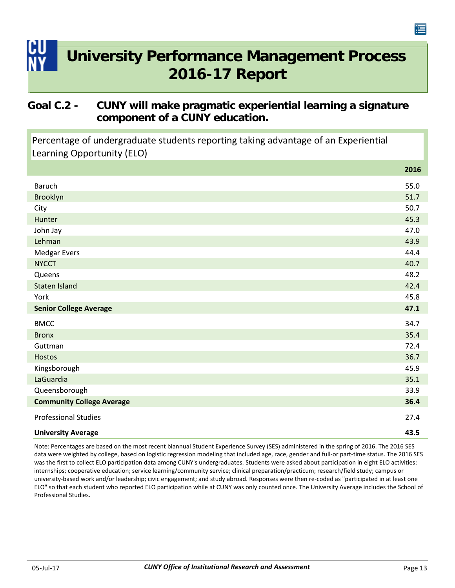### <span id="page-16-0"></span>**Goal C.2 - CUNY will make pragmatic experiential learning a signature component of a CUNY education.**

Percentage of undergraduate students reporting taking advantage of an Experiential Learning Opportunity (ELO)

|                                  | 2016 |
|----------------------------------|------|
| Baruch                           | 55.0 |
| Brooklyn                         | 51.7 |
| City                             | 50.7 |
| Hunter                           | 45.3 |
| John Jay                         | 47.0 |
| Lehman                           | 43.9 |
| <b>Medgar Evers</b>              | 44.4 |
| <b>NYCCT</b>                     | 40.7 |
| Queens                           | 48.2 |
| Staten Island                    | 42.4 |
| York                             | 45.8 |
| <b>Senior College Average</b>    | 47.1 |
| <b>BMCC</b>                      | 34.7 |
| <b>Bronx</b>                     | 35.4 |
| Guttman                          | 72.4 |
| Hostos                           | 36.7 |
| Kingsborough                     | 45.9 |
| LaGuardia                        | 35.1 |
| Queensborough                    | 33.9 |
| <b>Community College Average</b> | 36.4 |
| <b>Professional Studies</b>      | 27.4 |
| <b>University Average</b>        | 43.5 |

Note: Percentages are based on the most recent biannual Student Experience Survey (SES) administered in the spring of 2016. The 2016 SES data were weighted by college, based on logistic regression modeling that included age, race, gender and full-or part-time status. The 2016 SES was the first to collect ELO participation data among CUNY's undergraduates. Students were asked about participation in eight ELO activities: internships; cooperative education; service learning/community service; clinical preparation/practicum; research/field study; campus or university‐based work and/or leadership; civic engagement; and study abroad. Responses were then re‐coded as "participated in at least one ELO" so that each student who reported ELO participation while at CUNY was only counted once. The University Average includes the School of Professional Studies.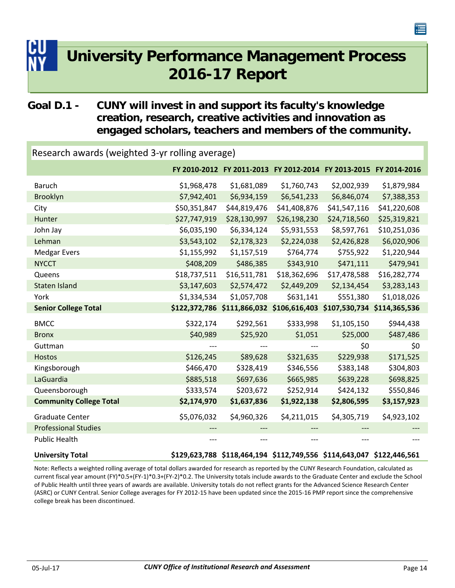### <span id="page-17-0"></span>**Goal D.1 - CUNY will invest in and support its faculty's knowledge creation, research, creative activities and innovation as engaged scholars, teachers and members of the community.**

| Research awards (weighted 3-yr rolling average) |              |                                                                       |              |              |              |  |  |
|-------------------------------------------------|--------------|-----------------------------------------------------------------------|--------------|--------------|--------------|--|--|
|                                                 |              | FY 2010-2012 FY 2011-2013 FY 2012-2014 FY 2013-2015 FY 2014-2016      |              |              |              |  |  |
| <b>Baruch</b>                                   | \$1,968,478  | \$1,681,089                                                           | \$1,760,743  | \$2,002,939  | \$1,879,984  |  |  |
| <b>Brooklyn</b>                                 | \$7,942,401  | \$6,934,159                                                           | \$6,541,233  | \$6,846,074  | \$7,388,353  |  |  |
| City                                            | \$50,351,847 | \$44,819,476                                                          | \$41,408,876 | \$41,547,116 | \$41,220,608 |  |  |
| Hunter                                          | \$27,747,919 | \$28,130,997                                                          | \$26,198,230 | \$24,718,560 | \$25,319,821 |  |  |
| John Jay                                        | \$6,035,190  | \$6,334,124                                                           | \$5,931,553  | \$8,597,761  | \$10,251,036 |  |  |
| Lehman                                          | \$3,543,102  | \$2,178,323                                                           | \$2,224,038  | \$2,426,828  | \$6,020,906  |  |  |
| <b>Medgar Evers</b>                             | \$1,155,992  | \$1,157,519                                                           | \$764,774    | \$755,922    | \$1,220,944  |  |  |
| <b>NYCCT</b>                                    | \$408,209    | \$486,385                                                             | \$343,910    | \$471,111    | \$479,941    |  |  |
| Queens                                          | \$18,737,511 | \$16,511,781                                                          | \$18,362,696 | \$17,478,588 | \$16,282,774 |  |  |
| <b>Staten Island</b>                            | \$3,147,603  | \$2,574,472                                                           | \$2,449,209  | \$2,134,454  | \$3,283,143  |  |  |
| York                                            | \$1,334,534  | \$1,057,708                                                           | \$631,141    | \$551,380    | \$1,018,026  |  |  |
|                                                 |              |                                                                       |              |              |              |  |  |
| <b>Senior College Total</b>                     |              | \$122,372,786 \$111,866,032 \$106,616,403 \$107,530,734 \$114,365,536 |              |              |              |  |  |
| <b>BMCC</b>                                     | \$322,174    | \$292,561                                                             | \$333,998    | \$1,105,150  | \$944,438    |  |  |
| <b>Bronx</b>                                    | \$40,989     | \$25,920                                                              | \$1,051      | \$25,000     | \$487,486    |  |  |
| Guttman                                         |              |                                                                       | ---          | \$0          | \$0          |  |  |
| <b>Hostos</b>                                   | \$126,245    | \$89,628                                                              | \$321,635    | \$229,938    | \$171,525    |  |  |
| Kingsborough                                    | \$466,470    | \$328,419                                                             | \$346,556    | \$383,148    | \$304,803    |  |  |
| LaGuardia                                       | \$885,518    | \$697,636                                                             | \$665,985    | \$639,228    | \$698,825    |  |  |
| Queensborough                                   | \$333,574    | \$203,672                                                             | \$252,914    | \$424,132    | \$550,846    |  |  |
| <b>Community College Total</b>                  | \$2,174,970  | \$1,637,836                                                           | \$1,922,138  | \$2,806,595  | \$3,157,923  |  |  |
| <b>Graduate Center</b>                          | \$5,076,032  | \$4,960,326                                                           | \$4,211,015  | \$4,305,719  | \$4,923,102  |  |  |
| <b>Professional Studies</b>                     |              |                                                                       |              |              |              |  |  |
| <b>Public Health</b>                            |              |                                                                       |              | ---          |              |  |  |

Note: Reflects a weighted rolling average of total dollars awarded for research as reported by the CUNY Research Foundation, calculated as current fiscal year amount (FY)\*0.5+(FY‐1)\*0.3+(FY‐2)\*0.2. The University totals include awards to the Graduate Center and exclude the School of Public Health until three years of awards are available. University totals do not reflect grants for the Advanced Science Research Center (ASRC) or CUNY Central. Senior College averages for FY 2012‐15 have been updated since the 2015‐16 PMP report since the comprehensive college break has been discontinued.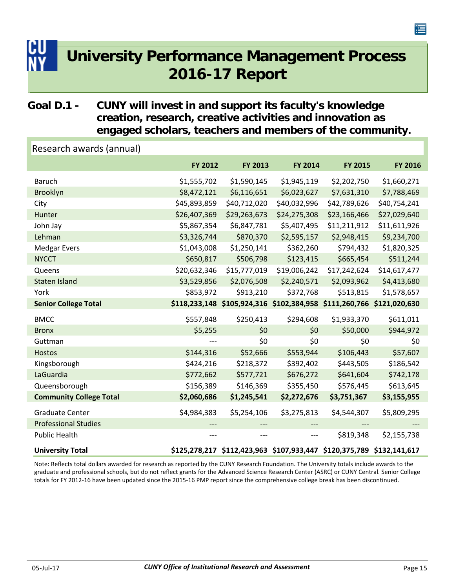### <span id="page-18-0"></span>**Goal D.1 - CUNY will invest in and support its faculty's knowledge creation, research, creative activities and innovation as engaged scholars, teachers and members of the community.**

| Research awards (annual)       |              |              |                                                                       |              |              |
|--------------------------------|--------------|--------------|-----------------------------------------------------------------------|--------------|--------------|
|                                | FY 2012      | FY 2013      | FY 2014                                                               | FY 2015      | FY 2016      |
| <b>Baruch</b>                  | \$1,555,702  | \$1,590,145  | \$1,945,119                                                           | \$2,202,750  | \$1,660,271  |
| Brooklyn                       | \$8,472,121  | \$6,116,651  | \$6,023,627                                                           | \$7,631,310  | \$7,788,469  |
| City                           | \$45,893,859 | \$40,712,020 | \$40,032,996                                                          | \$42,789,626 | \$40,754,241 |
| Hunter                         | \$26,407,369 | \$29,263,673 | \$24,275,308                                                          | \$23,166,466 | \$27,029,640 |
| John Jay                       | \$5,867,354  | \$6,847,781  | \$5,407,495                                                           | \$11,211,912 | \$11,611,926 |
| Lehman                         | \$3,326,744  | \$870,370    | \$2,595,157                                                           | \$2,948,415  | \$9,234,700  |
| <b>Medgar Evers</b>            | \$1,043,008  | \$1,250,141  | \$362,260                                                             | \$794,432    | \$1,820,325  |
| <b>NYCCT</b>                   | \$650,817    | \$506,798    | \$123,415                                                             | \$665,454    | \$511,244    |
| Queens                         | \$20,632,346 | \$15,777,019 | \$19,006,242                                                          | \$17,242,624 | \$14,617,477 |
| <b>Staten Island</b>           | \$3,529,856  | \$2,076,508  | \$2,240,571                                                           | \$2,093,962  | \$4,413,680  |
| York                           | \$853,972    | \$913,210    | \$372,768                                                             | \$513,815    | \$1,578,657  |
| <b>Senior College Total</b>    |              |              | \$118,233,148 \$105,924,316 \$102,384,958 \$111,260,766 \$121,020,630 |              |              |
|                                |              |              |                                                                       |              |              |
| <b>BMCC</b>                    | \$557,848    | \$250,413    | \$294,608                                                             | \$1,933,370  | \$611,011    |
| <b>Bronx</b>                   | \$5,255      | \$0          | \$0                                                                   | \$50,000     | \$944,972    |
| Guttman                        |              | \$0          | \$0                                                                   | \$0          | \$0          |
| <b>Hostos</b>                  | \$144,316    | \$52,666     | \$553,944                                                             | \$106,443    | \$57,607     |
| Kingsborough                   | \$424,216    | \$218,372    | \$392,402                                                             | \$443,505    | \$186,542    |
| LaGuardia                      | \$772,662    | \$577,721    | \$676,272                                                             | \$641,604    | \$742,178    |
| Queensborough                  | \$156,389    | \$146,369    | \$355,450                                                             | \$576,445    | \$613,645    |
| <b>Community College Total</b> | \$2,060,686  | \$1,245,541  | \$2,272,676                                                           | \$3,751,367  | \$3,155,955  |
| <b>Graduate Center</b>         | \$4,984,383  | \$5,254,106  | \$3,275,813                                                           | \$4,544,307  | \$5,809,295  |
| <b>Professional Studies</b>    |              |              |                                                                       |              |              |
| <b>Public Health</b>           | ---          | ---          | $---$                                                                 | \$819,348    | \$2,155,738  |

Note: Reflects total dollars awarded for research as reported by the CUNY Research Foundation. The University totals include awards to the graduate and professional schools, but do not reflect grants for the Advanced Science Research Center (ASRC) or CUNY Central. Senior College totals for FY 2012‐16 have been updated since the 2015‐16 PMP report since the comprehensive college break has been discontinued.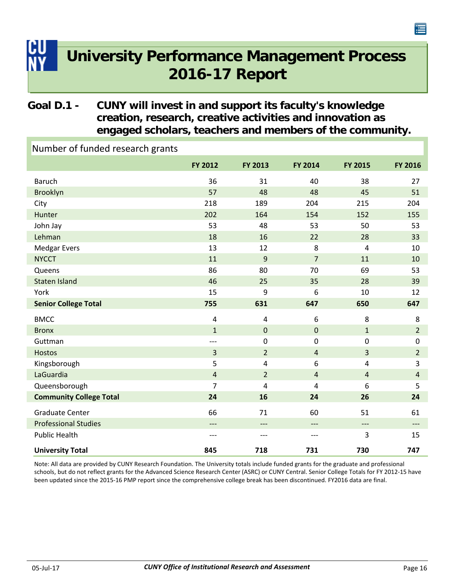### <span id="page-19-0"></span>**Goal D.1 - CUNY will invest in and support its faculty's knowledge creation, research, creative activities and innovation as engaged scholars, teachers and members of the community.**

**FY 2012 FY FY 2013 FY 2014 FY 2015 2016** Number of funded research grants Baruch 36 31 40 38 27 Brooklyn 57 48 48 45 51 City 218 189 204 215 204 Hunter 202 154 152 155 John Jay 53 50 53 53 50 53 53 50 53 Lehman 18 18 16 22 28 33 Medgar Evers 13 12 8 4 10 NYCCT 11 9 7 11 10 Queens 86 80 70 69 53 Staten Island 28 28 28 29 29 29 29 29 20 21 22 23 23 24 23 23 24 23 23 23 24 25 27 27 27 28 28 29 28 28 29 28 York 15 9 6 10 12 **Senior College Total 755 631 647 650 647** BMCC 4 4 6 8 8 Bronx  $\begin{array}{cccccccccccccc} & 1 & 0 & 0 & 1 & 2 \end{array}$ Guttman ‐‐‐ 0 0 0 0 Hostos  $\begin{array}{ccccccccccccc} & & & & & & & 3 & & & 2 & & & 4 & & & 3 & & & 2 \end{array}$ Kingsborough 5 5 4 6 4 3 LaGuardia 4 2 4 4 4 Queensborough 7 4 4 6 5 **Community College Total 24 16 24 26 24** Graduate Center 61 60 51 61 61 Professional Studies ‐‐‐ ‐‐‐ ‐‐‐ ‐‐‐ ‐‐‐ Public Health ‐‐‐ ‐‐‐ ‐‐‐ 3 15 **University Total 845 718 731 730 747**

Note: All data are provided by CUNY Research Foundation. The University totals include funded grants for the graduate and professional schools, but do not reflect grants for the Advanced Science Research Center (ASRC) or CUNY Central. Senior College Totals for FY 2012‐15 have been updated since the 2015‐16 PMP report since the comprehensive college break has been discontinued. FY2016 data are final.

僵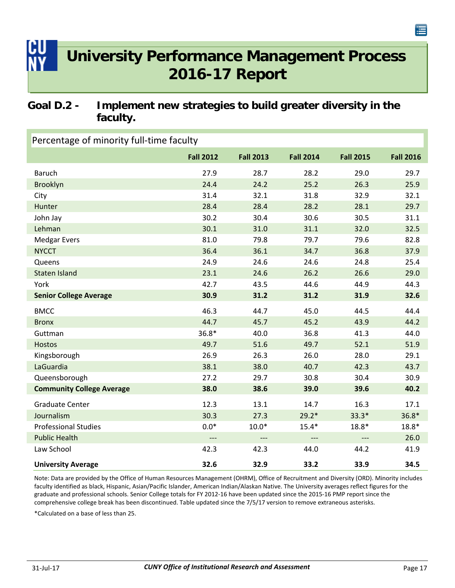### <span id="page-20-0"></span>**Goal D.2 - Implement new strategies to build greater diversity in the faculty.**

| Percentage of minority full-time faculty |                  |                  |                  |                  |                  |  |
|------------------------------------------|------------------|------------------|------------------|------------------|------------------|--|
|                                          | <b>Fall 2012</b> | <b>Fall 2013</b> | <b>Fall 2014</b> | <b>Fall 2015</b> | <b>Fall 2016</b> |  |
| <b>Baruch</b>                            | 27.9             | 28.7             | 28.2             | 29.0             | 29.7             |  |
| <b>Brooklyn</b>                          | 24.4             | 24.2             | 25.2             | 26.3             | 25.9             |  |
| City                                     | 31.4             | 32.1             | 31.8             | 32.9             | 32.1             |  |
| Hunter                                   | 28.4             | 28.4             | 28.2             | 28.1             | 29.7             |  |
| John Jay                                 | 30.2             | 30.4             | 30.6             | 30.5             | 31.1             |  |
| Lehman                                   | 30.1             | 31.0             | 31.1             | 32.0             | 32.5             |  |
| <b>Medgar Evers</b>                      | 81.0             | 79.8             | 79.7             | 79.6             | 82.8             |  |
| <b>NYCCT</b>                             | 36.4             | 36.1             | 34.7             | 36.8             | 37.9             |  |
| Queens                                   | 24.9             | 24.6             | 24.6             | 24.8             | 25.4             |  |
| <b>Staten Island</b>                     | 23.1             | 24.6             | 26.2             | 26.6             | 29.0             |  |
| York                                     | 42.7             | 43.5             | 44.6             | 44.9             | 44.3             |  |
| <b>Senior College Average</b>            | 30.9             | 31.2             | 31.2             | 31.9             | 32.6             |  |
| <b>BMCC</b>                              | 46.3             | 44.7             | 45.0             | 44.5             | 44.4             |  |
| <b>Bronx</b>                             | 44.7             | 45.7             | 45.2             | 43.9             | 44.2             |  |
| Guttman                                  | 36.8*            | 40.0             | 36.8             | 41.3             | 44.0             |  |
| <b>Hostos</b>                            | 49.7             | 51.6             | 49.7             | 52.1             | 51.9             |  |
| Kingsborough                             | 26.9             | 26.3             | 26.0             | 28.0             | 29.1             |  |
| LaGuardia                                | 38.1             | 38.0             | 40.7             | 42.3             | 43.7             |  |
| Queensborough                            | 27.2             | 29.7             | 30.8             | 30.4             | 30.9             |  |
| <b>Community College Average</b>         | 38.0             | 38.6             | 39.0             | 39.6             | 40.2             |  |
| <b>Graduate Center</b>                   | 12.3             | 13.1             | 14.7             | 16.3             | 17.1             |  |
| Journalism                               | 30.3             | 27.3             | $29.2*$          | $33.3*$          | $36.8*$          |  |
| <b>Professional Studies</b>              | $0.0*$           | $10.0*$          | $15.4*$          | $18.8*$          | $18.8*$          |  |
| <b>Public Health</b>                     | $---$            | $---$            | $---$            | $---$            | 26.0             |  |
| Law School                               | 42.3             | 42.3             | 44.0             | 44.2             | 41.9             |  |
| <b>University Average</b>                | 32.6             | 32.9             | 33.2             | 33.9             | 34.5             |  |

Note: Data are provided by the Office of Human Resources Management (OHRM), Office of Recruitment and Diversity (ORD). Minority includes faculty identified as black, Hispanic, Asian/Pacific Islander, American Indian/Alaskan Native. The University averages reflect figures for the graduate and professional schools. Senior College totals for FY 2012‐16 have been updated since the 2015‐16 PMP report since the comprehensive college break has been discontinued. Table updated since the 7/5/17 version to remove extraneous asterisks.

\*Calculated on a base of less than 25.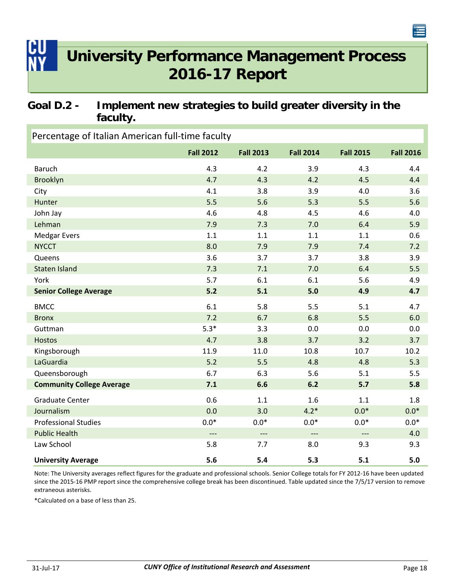### <span id="page-21-0"></span>**Goal D.2 - Implement new strategies to build greater diversity in the faculty.**

| Percentage of Italian American full-time faculty |                     |                  |                          |                     |                  |  |
|--------------------------------------------------|---------------------|------------------|--------------------------|---------------------|------------------|--|
|                                                  | <b>Fall 2012</b>    | <b>Fall 2013</b> | <b>Fall 2014</b>         | <b>Fall 2015</b>    | <b>Fall 2016</b> |  |
| <b>Baruch</b>                                    | 4.3                 | 4.2              | 3.9                      | 4.3                 | 4.4              |  |
| Brooklyn                                         | 4.7                 | 4.3              | 4.2                      | 4.5                 | 4.4              |  |
| City                                             | 4.1                 | 3.8              | 3.9                      | 4.0                 | 3.6              |  |
| Hunter                                           | 5.5                 | 5.6              | 5.3                      | 5.5                 | 5.6              |  |
| John Jay                                         | 4.6                 | 4.8              | 4.5                      | 4.6                 | 4.0              |  |
| Lehman                                           | 7.9                 | 7.3              | 7.0                      | 6.4                 | 5.9              |  |
| <b>Medgar Evers</b>                              | 1.1                 | 1.1              | 1.1                      | 1.1                 | 0.6              |  |
| <b>NYCCT</b>                                     | 8.0                 | 7.9              | 7.9                      | 7.4                 | 7.2              |  |
| Queens                                           | 3.6                 | 3.7              | 3.7                      | 3.8                 | 3.9              |  |
| <b>Staten Island</b>                             | 7.3                 | 7.1              | 7.0                      | 6.4                 | 5.5              |  |
| York                                             | 5.7                 | 6.1              | 6.1                      | 5.6                 | 4.9              |  |
| <b>Senior College Average</b>                    | $5.2$               | 5.1              | $5.0$                    | 4.9                 | 4.7              |  |
| <b>BMCC</b>                                      | 6.1                 | 5.8              | 5.5                      | 5.1                 | 4.7              |  |
| <b>Bronx</b>                                     | 7.2                 | 6.7              | 6.8                      | 5.5                 | 6.0              |  |
| Guttman                                          | $5.3*$              | 3.3              | 0.0                      | 0.0                 | 0.0              |  |
| <b>Hostos</b>                                    | 4.7                 | 3.8              | 3.7                      | 3.2                 | 3.7              |  |
| Kingsborough                                     | 11.9                | 11.0             | 10.8                     | 10.7                | 10.2             |  |
| LaGuardia                                        | $5.2$               | 5.5              | 4.8                      | 4.8                 | 5.3              |  |
| Queensborough                                    | 6.7                 | 6.3              | 5.6                      | 5.1                 | 5.5              |  |
| <b>Community College Average</b>                 | 7.1                 | 6.6              | 6.2                      | 5.7                 | 5.8              |  |
| <b>Graduate Center</b>                           | 0.6                 | 1.1              | 1.6                      | 1.1                 | 1.8              |  |
| Journalism                                       | 0.0                 | 3.0              | $4.2*$                   | $0.0*$              | $0.0*$           |  |
| <b>Professional Studies</b>                      | $0.0*$              | $0.0*$           | $0.0*$                   | $0.0*$              | $0.0*$           |  |
| <b>Public Health</b>                             | $\qquad \qquad - -$ | $---$            | $\overline{\phantom{a}}$ | $\qquad \qquad - -$ | 4.0              |  |
| Law School                                       | 5.8                 | 7.7              | 8.0                      | 9.3                 | 9.3              |  |
| <b>University Average</b>                        | 5.6                 | 5.4              | 5.3                      | 5.1                 | 5.0              |  |

Note: The University averages reflect figures for the graduate and professional schools. Senior College totals for FY 2012‐16 have been updated since the 2015-16 PMP report since the comprehensive college break has been discontinued. Table updated since the 7/5/17 version to remove extraneous asterisks.

\*Calculated on a base of less than 25.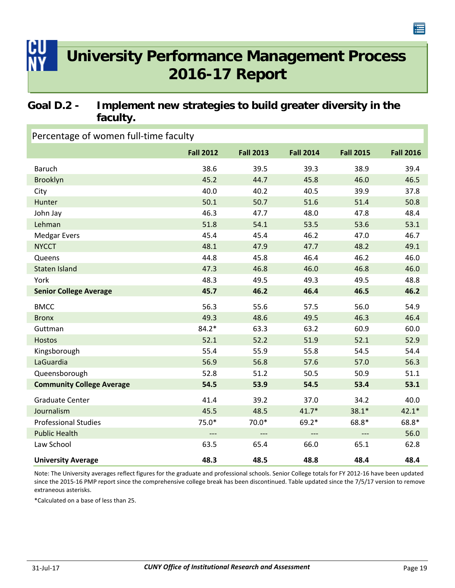### <span id="page-22-0"></span>**Goal D.2 - Implement new strategies to build greater diversity in the faculty.**

### Percentage of women full‐time faculty

|                                  | <b>Fall 2012</b>    | <b>Fall 2013</b> | <b>Fall 2014</b> | <b>Fall 2015</b>    | <b>Fall 2016</b> |
|----------------------------------|---------------------|------------------|------------------|---------------------|------------------|
| <b>Baruch</b>                    | 38.6                | 39.5             | 39.3             | 38.9                | 39.4             |
| Brooklyn                         | 45.2                | 44.7             | 45.8             | 46.0                | 46.5             |
| City                             | 40.0                | 40.2             | 40.5             | 39.9                | 37.8             |
| Hunter                           | 50.1                | 50.7             | 51.6             | 51.4                | 50.8             |
| John Jay                         | 46.3                | 47.7             | 48.0             | 47.8                | 48.4             |
| Lehman                           | 51.8                | 54.1             | 53.5             | 53.6                | 53.1             |
| <b>Medgar Evers</b>              | 45.4                | 45.4             | 46.2             | 47.0                | 46.7             |
| <b>NYCCT</b>                     | 48.1                | 47.9             | 47.7             | 48.2                | 49.1             |
| Queens                           | 44.8                | 45.8             | 46.4             | 46.2                | 46.0             |
| <b>Staten Island</b>             | 47.3                | 46.8             | 46.0             | 46.8                | 46.0             |
| York                             | 48.3                | 49.5             | 49.3             | 49.5                | 48.8             |
| <b>Senior College Average</b>    | 45.7                | 46.2             | 46.4             | 46.5                | 46.2             |
| <b>BMCC</b>                      | 56.3                | 55.6             | 57.5             | 56.0                | 54.9             |
| <b>Bronx</b>                     | 49.3                | 48.6             | 49.5             | 46.3                | 46.4             |
| Guttman                          | $84.2*$             | 63.3             | 63.2             | 60.9                | 60.0             |
| <b>Hostos</b>                    | 52.1                | 52.2             | 51.9             | 52.1                | 52.9             |
| Kingsborough                     | 55.4                | 55.9             | 55.8             | 54.5                | 54.4             |
| LaGuardia                        | 56.9                | 56.8             | 57.6             | 57.0                | 56.3             |
| Queensborough                    | 52.8                | 51.2             | 50.5             | 50.9                | 51.1             |
| <b>Community College Average</b> | 54.5                | 53.9             | 54.5             | 53.4                | 53.1             |
| <b>Graduate Center</b>           | 41.4                | 39.2             | 37.0             | 34.2                | 40.0             |
| Journalism                       | 45.5                | 48.5             | $41.7*$          | $38.1*$             | $42.1*$          |
| <b>Professional Studies</b>      | $75.0*$             | $70.0*$          | 69.2*            | 68.8*               | 68.8*            |
| <b>Public Health</b>             | $\qquad \qquad - -$ | $---$            | $---$            | $\qquad \qquad - -$ | 56.0             |
| Law School                       | 63.5                | 65.4             | 66.0             | 65.1                | 62.8             |
| <b>University Average</b>        | 48.3                | 48.5             | 48.8             | 48.4                | 48.4             |

Note: The University averages reflect figures for the graduate and professional schools. Senior College totals for FY 2012‐16 have been updated since the 2015-16 PMP report since the comprehensive college break has been discontinued. Table updated since the 7/5/17 version to remove extraneous asterisks.

\*Calculated on a base of less than 25.

海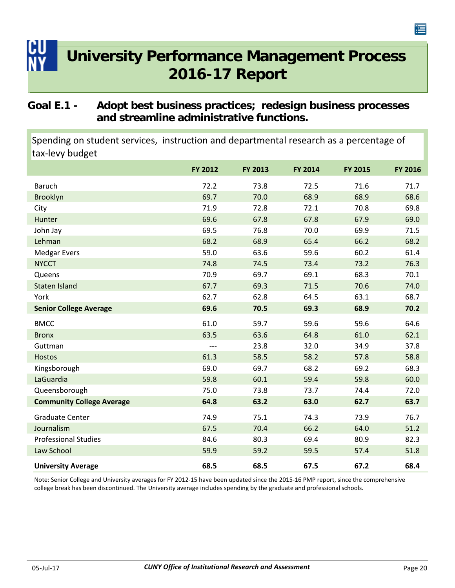### <span id="page-23-0"></span>**Goal E.1 - Adopt best business practices; redesign business processes and streamline administrative functions.**

Spending on student services, instruction and departmental research as a percentage of tax‐levy budget

|                                  | FY 2012 | FY 2013 | FY 2014 | <b>FY 2015</b> | FY 2016 |
|----------------------------------|---------|---------|---------|----------------|---------|
| <b>Baruch</b>                    | 72.2    | 73.8    | 72.5    | 71.6           | 71.7    |
| <b>Brooklyn</b>                  | 69.7    | 70.0    | 68.9    | 68.9           | 68.6    |
| City                             | 71.9    | 72.8    | 72.1    | 70.8           | 69.8    |
| Hunter                           | 69.6    | 67.8    | 67.8    | 67.9           | 69.0    |
| John Jay                         | 69.5    | 76.8    | 70.0    | 69.9           | 71.5    |
| Lehman                           | 68.2    | 68.9    | 65.4    | 66.2           | 68.2    |
| Medgar Evers                     | 59.0    | 63.6    | 59.6    | 60.2           | 61.4    |
| <b>NYCCT</b>                     | 74.8    | 74.5    | 73.4    | 73.2           | 76.3    |
| Queens                           | 70.9    | 69.7    | 69.1    | 68.3           | 70.1    |
| <b>Staten Island</b>             | 67.7    | 69.3    | 71.5    | 70.6           | 74.0    |
| York                             | 62.7    | 62.8    | 64.5    | 63.1           | 68.7    |
| <b>Senior College Average</b>    | 69.6    | 70.5    | 69.3    | 68.9           | 70.2    |
| <b>BMCC</b>                      | 61.0    | 59.7    | 59.6    | 59.6           | 64.6    |
| <b>Bronx</b>                     | 63.5    | 63.6    | 64.8    | 61.0           | 62.1    |
| Guttman                          | $---$   | 23.8    | 32.0    | 34.9           | 37.8    |
| <b>Hostos</b>                    | 61.3    | 58.5    | 58.2    | 57.8           | 58.8    |
| Kingsborough                     | 69.0    | 69.7    | 68.2    | 69.2           | 68.3    |
| LaGuardia                        | 59.8    | 60.1    | 59.4    | 59.8           | 60.0    |
| Queensborough                    | 75.0    | 73.8    | 73.7    | 74.4           | 72.0    |
| <b>Community College Average</b> | 64.8    | 63.2    | 63.0    | 62.7           | 63.7    |
| <b>Graduate Center</b>           | 74.9    | 75.1    | 74.3    | 73.9           | 76.7    |
| Journalism                       | 67.5    | 70.4    | 66.2    | 64.0           | 51.2    |
| <b>Professional Studies</b>      | 84.6    | 80.3    | 69.4    | 80.9           | 82.3    |
| Law School                       | 59.9    | 59.2    | 59.5    | 57.4           | 51.8    |
| <b>University Average</b>        | 68.5    | 68.5    | 67.5    | 67.2           | 68.4    |

Note: Senior College and University averages for FY 2012‐15 have been updated since the 2015‐16 PMP report, since the comprehensive college break has been discontinued. The University average includes spending by the graduate and professional schools.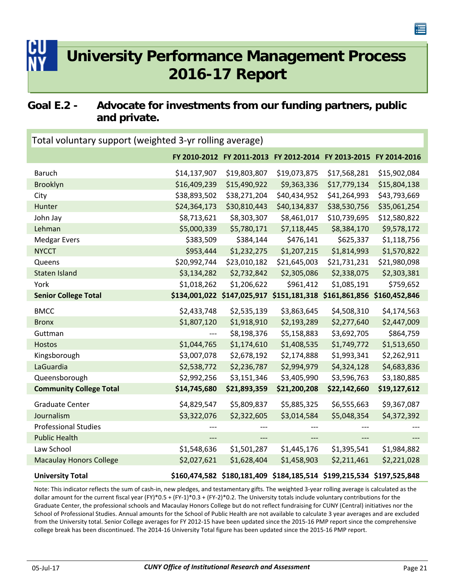### <span id="page-24-0"></span>**Goal E.2 - Advocate for investments from our funding partners, public and private.**

| Total voluntary support (weighted 3-yr rolling average) |              |                                                                       |              |              |              |  |  |  |
|---------------------------------------------------------|--------------|-----------------------------------------------------------------------|--------------|--------------|--------------|--|--|--|
|                                                         |              | FY 2010-2012 FY 2011-2013 FY 2012-2014 FY 2013-2015 FY 2014-2016      |              |              |              |  |  |  |
| <b>Baruch</b>                                           | \$14,137,907 | \$19,803,807                                                          | \$19,073,875 | \$17,568,281 | \$15,902,084 |  |  |  |
| <b>Brooklyn</b>                                         | \$16,409,239 | \$15,490,922                                                          | \$9,363,336  | \$17,779,134 | \$15,804,138 |  |  |  |
| City                                                    | \$38,893,502 | \$38,271,204                                                          | \$40,434,952 | \$41,264,993 | \$43,793,669 |  |  |  |
| Hunter                                                  | \$24,364,173 | \$30,810,443                                                          | \$40,134,837 | \$38,530,756 | \$35,061,254 |  |  |  |
| John Jay                                                | \$8,713,621  | \$8,303,307                                                           | \$8,461,017  | \$10,739,695 | \$12,580,822 |  |  |  |
| Lehman                                                  | \$5,000,339  | \$5,780,171                                                           | \$7,118,445  | \$8,384,170  | \$9,578,172  |  |  |  |
| <b>Medgar Evers</b>                                     | \$383,509    | \$384,144                                                             | \$476,141    | \$625,337    | \$1,118,756  |  |  |  |
| <b>NYCCT</b>                                            | \$953,444    | \$1,232,275                                                           | \$1,207,215  | \$1,814,993  | \$1,570,822  |  |  |  |
| Queens                                                  | \$20,992,744 | \$23,010,182                                                          | \$21,645,003 | \$21,731,231 | \$21,980,098 |  |  |  |
| <b>Staten Island</b>                                    | \$3,134,282  | \$2,732,842                                                           | \$2,305,086  | \$2,338,075  | \$2,303,381  |  |  |  |
| York                                                    | \$1,018,262  | \$1,206,622                                                           | \$961,412    | \$1,085,191  | \$759,652    |  |  |  |
| <b>Senior College Total</b>                             |              | \$134,001,022 \$147,025,917 \$151,181,318 \$161,861,856 \$160,452,846 |              |              |              |  |  |  |
| <b>BMCC</b>                                             | \$2,433,748  | \$2,535,139                                                           | \$3,863,645  | \$4,508,310  | \$4,174,563  |  |  |  |
| <b>Bronx</b>                                            | \$1,807,120  | \$1,918,910                                                           | \$2,193,289  | \$2,277,640  | \$2,447,009  |  |  |  |
| Guttman                                                 |              | \$8,198,376                                                           | \$5,158,883  | \$3,692,705  | \$864,759    |  |  |  |
| <b>Hostos</b>                                           | \$1,044,765  | \$1,174,610                                                           | \$1,408,535  | \$1,749,772  | \$1,513,650  |  |  |  |
| Kingsborough                                            | \$3,007,078  | \$2,678,192                                                           | \$2,174,888  | \$1,993,341  | \$2,262,911  |  |  |  |
| LaGuardia                                               | \$2,538,772  | \$2,236,787                                                           | \$2,994,979  | \$4,324,128  | \$4,683,836  |  |  |  |
| Queensborough                                           | \$2,992,256  | \$3,151,346                                                           | \$3,405,990  | \$3,596,763  | \$3,180,885  |  |  |  |
| <b>Community College Total</b>                          | \$14,745,680 | \$21,893,359                                                          | \$21,200,208 | \$22,142,660 | \$19,127,612 |  |  |  |
| <b>Graduate Center</b>                                  | \$4,829,547  | \$5,809,837                                                           | \$5,885,325  | \$6,555,663  | \$9,367,087  |  |  |  |
| Journalism                                              | \$3,322,076  | \$2,322,605                                                           | \$3,014,584  | \$5,048,354  | \$4,372,392  |  |  |  |
| <b>Professional Studies</b>                             |              |                                                                       |              | ---          |              |  |  |  |
| <b>Public Health</b>                                    | $---$        | $---$                                                                 | ---          | $---$        |              |  |  |  |
| Law School                                              | \$1,548,636  | \$1,501,287                                                           | \$1,445,176  | \$1,395,541  | \$1,984,882  |  |  |  |
| <b>Macaulay Honors College</b>                          | \$2,027,621  | \$1,628,404                                                           | \$1,458,903  | \$2,211,461  | \$2,221,028  |  |  |  |
| <b>University Total</b>                                 |              | \$160,474,582 \$180,181,409 \$184,185,514 \$199,215,534 \$197,525,848 |              |              |              |  |  |  |

Note: This indicator reflects the sum of cash‐in, new pledges, and testamentary gifts. The weighted 3‐year rolling average is calculated as the dollar amount for the current fiscal year (FY)\*0.5 + (FY‐1)\*0.3 + (FY‐2)\*0.2. The University totals include voluntary contributions for the Graduate Center, the professional schools and Macaulay Honors College but do not reflect fundraising for CUNY (Central) initiatives nor the School of Professional Studies. Annual amounts for the School of Public Health are not available to calculate 3 year averages and are excluded from the University total. Senior College averages for FY 2012‐15 have been updated since the 2015‐16 PMP report since the comprehensive college break has been discontinued. The 2014‐16 University Total figure has been updated since the 2015‐16 PMP report.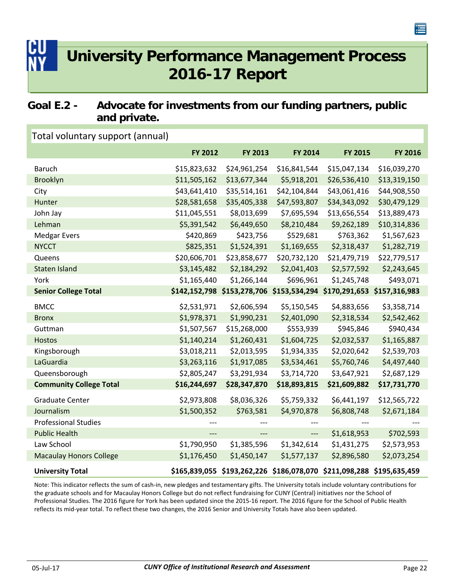### <span id="page-25-0"></span>**Goal E.2 - Advocate for investments from our funding partners, public and private.**

| Total voluntary support (annual) |              |                             |                                                                       |                             |               |
|----------------------------------|--------------|-----------------------------|-----------------------------------------------------------------------|-----------------------------|---------------|
|                                  | FY 2012      | FY 2013                     | FY 2014                                                               | <b>FY 2015</b>              | FY 2016       |
| <b>Baruch</b>                    | \$15,823,632 | \$24,961,254                | \$16,841,544                                                          | \$15,047,134                | \$16,039,270  |
| Brooklyn                         | \$11,505,162 | \$13,677,344                | \$5,918,201                                                           | \$26,536,410                | \$13,319,150  |
| City                             | \$43,641,410 | \$35,514,161                | \$42,104,844                                                          | \$43,061,416                | \$44,908,550  |
| Hunter                           | \$28,581,658 | \$35,405,338                | \$47,593,807                                                          | \$34,343,092                | \$30,479,129  |
| John Jay                         | \$11,045,551 | \$8,013,699                 | \$7,695,594                                                           | \$13,656,554                | \$13,889,473  |
| Lehman                           | \$5,391,542  | \$6,449,650                 | \$8,210,484                                                           | \$9,262,189                 | \$10,314,836  |
| <b>Medgar Evers</b>              | \$420,869    | \$423,756                   | \$529,681                                                             | \$763,362                   | \$1,567,623   |
| <b>NYCCT</b>                     | \$825,351    | \$1,524,391                 | \$1,169,655                                                           | \$2,318,437                 | \$1,282,719   |
| Queens                           | \$20,606,701 | \$23,858,677                | \$20,732,120                                                          | \$21,479,719                | \$22,779,517  |
| <b>Staten Island</b>             | \$3,145,482  | \$2,184,292                 | \$2,041,403                                                           | \$2,577,592                 | \$2,243,645   |
| York                             | \$1,165,440  | \$1,266,144                 | \$696,961                                                             | \$1,245,748                 | \$493,071     |
| <b>Senior College Total</b>      |              | \$142,152,798 \$153,278,706 |                                                                       | \$153,534,294 \$170,291,653 | \$157,316,983 |
| <b>BMCC</b>                      | \$2,531,971  | \$2,606,594                 | \$5,150,545                                                           | \$4,883,656                 | \$3,358,714   |
| <b>Bronx</b>                     | \$1,978,371  | \$1,990,231                 | \$2,401,090                                                           | \$2,318,534                 | \$2,542,462   |
| Guttman                          | \$1,507,567  | \$15,268,000                | \$553,939                                                             | \$945,846                   | \$940,434     |
| <b>Hostos</b>                    | \$1,140,214  | \$1,260,431                 | \$1,604,725                                                           | \$2,032,537                 | \$1,165,887   |
| Kingsborough                     | \$3,018,211  | \$2,013,595                 | \$1,934,335                                                           | \$2,020,642                 | \$2,539,703   |
| LaGuardia                        | \$3,263,116  | \$1,917,085                 | \$3,534,461                                                           | \$5,760,746                 | \$4,497,440   |
| Queensborough                    | \$2,805,247  | \$3,291,934                 | \$3,714,720                                                           | \$3,647,921                 | \$2,687,129   |
| <b>Community College Total</b>   | \$16,244,697 | \$28,347,870                | \$18,893,815                                                          | \$21,609,882                | \$17,731,770  |
| <b>Graduate Center</b>           | \$2,973,808  | \$8,036,326                 | \$5,759,332                                                           | \$6,441,197                 | \$12,565,722  |
| Journalism                       | \$1,500,352  | \$763,581                   | \$4,970,878                                                           | \$6,808,748                 | \$2,671,184   |
| <b>Professional Studies</b>      |              |                             |                                                                       | ---                         |               |
| <b>Public Health</b>             | ---          | ---                         | $\qquad \qquad - -$                                                   | \$1,618,953                 | \$702,593     |
| Law School                       | \$1,790,950  | \$1,385,596                 | \$1,342,614                                                           | \$1,431,275                 | \$2,573,953   |
| <b>Macaulay Honors College</b>   | \$1,176,450  | \$1,450,147                 | \$1,577,137                                                           | \$2,896,580                 | \$2,073,254   |
| <b>University Total</b>          |              |                             | \$165,839,055 \$193,262,226 \$186,078,070 \$211,098,288 \$195,635,459 |                             |               |

Note: This indicator reflects the sum of cash‐in, new pledges and testamentary gifts. The University totals include voluntary contributions for the graduate schools and for Macaulay Honors College but do not reflect fundraising for CUNY (Central) initiatives nor the School of Professional Studies. The 2016 figure for York has been updated since the 2015‐16 report. The 2016 figure for the School of Public Health reflects its mid‐year total. To reflect these two changes, the 2016 Senior and University Totals have also been updated.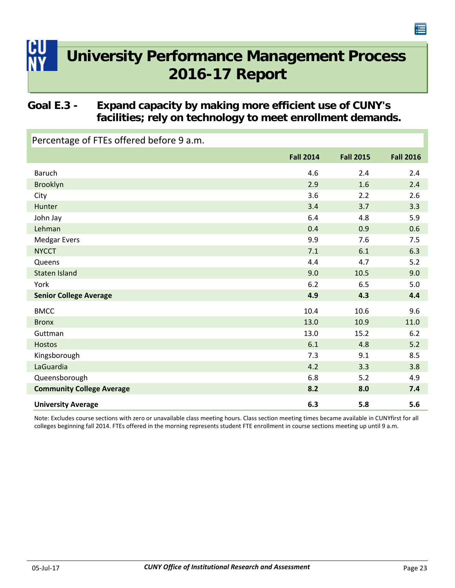### <span id="page-26-0"></span>**Goal E.3 - Expand capacity by making more efficient use of CUNY's facilities; rely on technology to meet enrollment demands.**

Percentage of FTEs offered before 9 a.m.

|                                  | <b>Fall 2014</b> | <b>Fall 2015</b> | <b>Fall 2016</b> |
|----------------------------------|------------------|------------------|------------------|
| <b>Baruch</b>                    | 4.6              | 2.4              | 2.4              |
| Brooklyn                         | 2.9              | 1.6              | 2.4              |
| City                             | 3.6              | 2.2              | 2.6              |
| Hunter                           | 3.4              | 3.7              | 3.3              |
| John Jay                         | 6.4              | 4.8              | 5.9              |
| Lehman                           | 0.4              | 0.9              | 0.6              |
| <b>Medgar Evers</b>              | 9.9              | 7.6              | 7.5              |
| <b>NYCCT</b>                     | 7.1              | 6.1              | 6.3              |
| Queens                           | 4.4              | 4.7              | 5.2              |
| Staten Island                    | 9.0              | 10.5             | 9.0              |
| York                             | 6.2              | 6.5              | 5.0              |
| <b>Senior College Average</b>    | 4.9              | 4.3              | 4.4              |
| <b>BMCC</b>                      | 10.4             | 10.6             | 9.6              |
| <b>Bronx</b>                     | 13.0             | 10.9             | 11.0             |
| Guttman                          | 13.0             | 15.2             | 6.2              |
| <b>Hostos</b>                    | 6.1              | 4.8              | 5.2              |
| Kingsborough                     | 7.3              | 9.1              | 8.5              |
| LaGuardia                        | 4.2              | 3.3              | 3.8              |
| Queensborough                    | 6.8              | 5.2              | 4.9              |
| <b>Community College Average</b> | 8.2              | 8.0              | 7.4              |
| <b>University Average</b>        | 6.3              | 5.8              | 5.6              |

Note: Excludes course sections with zero or unavailable class meeting hours. Class section meeting times became available in CUNYfirst for all colleges beginning fall 2014. FTEs offered in the morning represents student FTE enrollment in course sections meeting up until 9 a.m.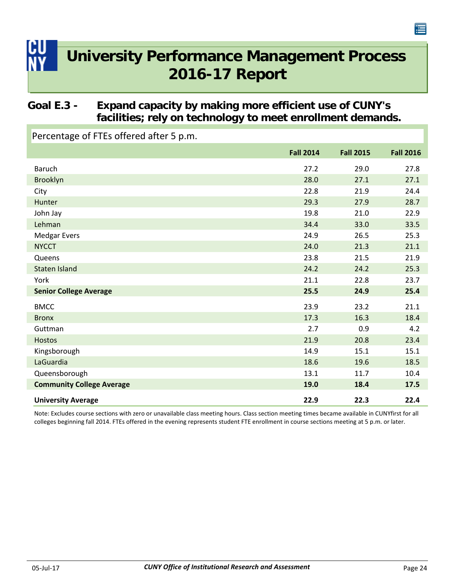### <span id="page-27-0"></span>**Goal E.3 - Expand capacity by making more efficient use of CUNY's facilities; rely on technology to meet enrollment demands.**

Percentage of FTEs offered after 5 p.m.

|                                  | <b>Fall 2014</b> | <b>Fall 2015</b> | <b>Fall 2016</b> |
|----------------------------------|------------------|------------------|------------------|
| <b>Baruch</b>                    | 27.2             | 29.0             | 27.8             |
| Brooklyn                         | 28.0             | 27.1             | 27.1             |
| City                             | 22.8             | 21.9             | 24.4             |
| Hunter                           | 29.3             | 27.9             | 28.7             |
| John Jay                         | 19.8             | 21.0             | 22.9             |
| Lehman                           | 34.4             | 33.0             | 33.5             |
| <b>Medgar Evers</b>              | 24.9             | 26.5             | 25.3             |
| <b>NYCCT</b>                     | 24.0             | 21.3             | 21.1             |
| Queens                           | 23.8             | 21.5             | 21.9             |
| <b>Staten Island</b>             | 24.2             | 24.2             | 25.3             |
| York                             | 21.1             | 22.8             | 23.7             |
| <b>Senior College Average</b>    | 25.5             | 24.9             | 25.4             |
| <b>BMCC</b>                      | 23.9             | 23.2             | 21.1             |
| <b>Bronx</b>                     | 17.3             | 16.3             | 18.4             |
| Guttman                          | 2.7              | 0.9              | 4.2              |
| <b>Hostos</b>                    | 21.9             | 20.8             | 23.4             |
| Kingsborough                     | 14.9             | 15.1             | 15.1             |
| LaGuardia                        | 18.6             | 19.6             | 18.5             |
| Queensborough                    | 13.1             | 11.7             | 10.4             |
| <b>Community College Average</b> | 19.0             | 18.4             | 17.5             |
| <b>University Average</b>        | 22.9             | 22.3             | 22.4             |

Note: Excludes course sections with zero or unavailable class meeting hours. Class section meeting times became available in CUNYfirst for all colleges beginning fall 2014. FTEs offered in the evening represents student FTE enrollment in course sections meeting at 5 p.m. or later.